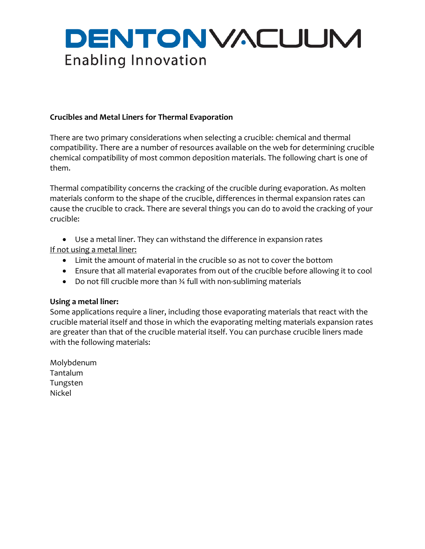# DENTONVACUUM **Enabling Innovation**

## **Crucibles and Metal Liners for Thermal Evaporation**

There are two primary considerations when selecting a crucible: chemical and thermal compatibility. There are a number of resources available on the web for determining crucible chemical compatibility of most common deposition materials. The following chart is one of them.

Thermal compatibility concerns the cracking of the crucible during evaporation. As molten materials conform to the shape of the crucible, differences in thermal expansion rates can cause the crucible to crack. There are several things you can do to avoid the cracking of your crucible:

• Use a metal liner. They can withstand the difference in expansion rates If not using a metal liner:

- Limit the amount of material in the crucible so as not to cover the bottom
- Ensure that all material evaporates from out of the crucible before allowing it to cool
- Do not fill crucible more than ¾ full with non‐subliming materials

## **Using a metal liner:**

Some applications require a liner, including those evaporating materials that react with the crucible material itself and those in which the evaporating melting materials expansion rates are greater than that of the crucible material itself. You can purchase crucible liners made with the following materials:

Molybdenum Tantalum Tungsten Nickel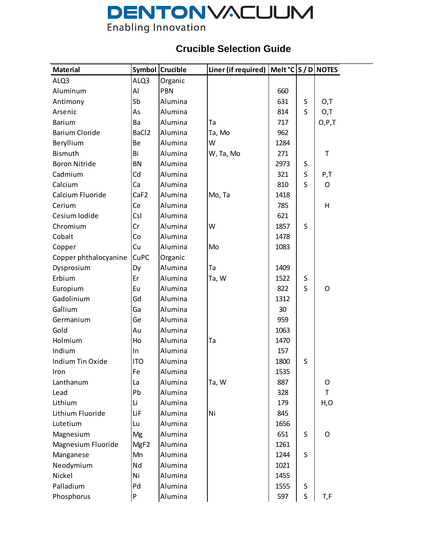# **DENTONVACUUM**<br>Enabling Innovation

# **Crucible Selection Guide**

| <b>Material</b>       |                   | Symbol Crucible | Liner (if required)   Melt $°C \mid S/D$ NOTES |      |         |         |
|-----------------------|-------------------|-----------------|------------------------------------------------|------|---------|---------|
| ALQ3                  | ALQ3              | Organic         |                                                |      |         |         |
| Aluminum              | Al                | PBN             |                                                | 660  |         |         |
| Antimony              | Sb                | Alumina         |                                                | 631  | S       | 0,T     |
| Arsenic               | As                | Alumina         |                                                | 814  | S       | O,T     |
| Barium                | Ba                | Alumina         | Ta                                             | 717  |         | O, P, T |
| <b>Barium Cloride</b> | BaCl <sub>2</sub> | Alumina         | Ta, Mo                                         | 962  |         |         |
| Beryllium             | Be                | Alumina         | W                                              | 1284 |         |         |
| Bismuth               | Bi                | Alumina         | W, Ta, Mo                                      | 271  |         | T       |
| <b>Boron Nitride</b>  | <b>BN</b>         | Alumina         |                                                | 2973 | S       |         |
| Cadmium               | Cd                | Alumina         |                                                | 321  | S       | P,T     |
| Calcium               | Ca                | Alumina         |                                                | 810  | S       | O       |
| Calcium Fluoride      | CaF <sub>2</sub>  | Alumina         | Mo, Ta                                         | 1418 |         |         |
| Cerium                | Ce                | Alumina         |                                                | 785  |         | H       |
| Cesium Iodide         | CsI               | Alumina         |                                                | 621  |         |         |
| Chromium              | Cr                | Alumina         | W                                              | 1857 | S       |         |
| Cobalt                | Co                | Alumina         |                                                | 1478 |         |         |
| Copper                | Cu                | Alumina         | Mo                                             | 1083 |         |         |
| Copper phthalocyanine | <b>CuPC</b>       | Organic         |                                                |      |         |         |
| Dysprosium            | Dy                | Alumina         | Ta                                             | 1409 |         |         |
| Erbium                | Er                | Alumina         | Ta, W                                          | 1522 | $\sf S$ |         |
| Europium              | Eu                | Alumina         |                                                | 822  | S       | O       |
| Gadolinium            | Gd                | Alumina         |                                                | 1312 |         |         |
| Gallium               | Ga                | Alumina         |                                                | 30   |         |         |
| Germanium             | Ge                | Alumina         |                                                | 959  |         |         |
| Gold                  | Au                | Alumina         |                                                | 1063 |         |         |
| Holmium               | Ho                | Alumina         | Ta                                             | 1470 |         |         |
| Indium                | In                | Alumina         |                                                | 157  |         |         |
| Indium Tin Oxide      | <b>ITO</b>        | Alumina         |                                                | 1800 | S       |         |
| Iron                  | Fe                | Alumina         |                                                | 1535 |         |         |
| Lanthanum             | La                | Alumina         | Ta, W                                          | 887  |         | O       |
| Lead                  | Pb                | Alumina         |                                                | 328  |         | Τ       |
| Lithium               | Li                | Alumina         |                                                | 179  |         | H, O    |
| Lithium Fluoride      | LiF               | Alumina         | Ni                                             | 845  |         |         |
| Lutetium              | Lu                | Alumina         |                                                | 1656 |         |         |
| Magnesium             | Mg                | Alumina         |                                                | 651  | S       | O       |
| Magnesium Fluoride    | MgF <sub>2</sub>  | Alumina         |                                                | 1261 |         |         |
| Manganese             | Mn                | Alumina         |                                                | 1244 | S       |         |
| Neodymium             | Nd                | Alumina         |                                                | 1021 |         |         |
| Nickel                | Ni                | Alumina         |                                                | 1455 |         |         |
| Palladium             | Pd                | Alumina         |                                                | 1555 | S       |         |
| Phosphorus            | P                 | Alumina         |                                                | 597  | S       | T,F     |